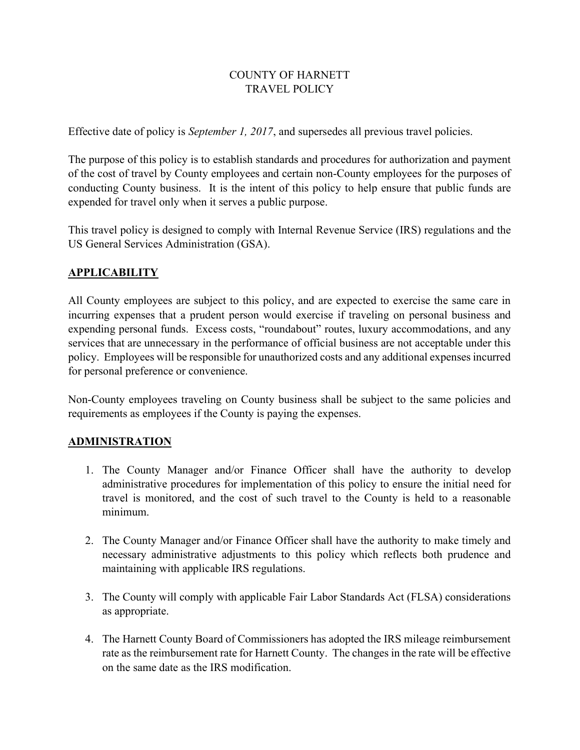### COUNTY OF HARNETT TRAVEL POLICY

Effective date of policy is September 1, 2017, and supersedes all previous travel policies.

The purpose of this policy is to establish standards and procedures for authorization and payment of the cost of travel by County employees and certain non-County employees for the purposes of conducting County business. It is the intent of this policy to help ensure that public funds are expended for travel only when it serves a public purpose.

This travel policy is designed to comply with Internal Revenue Service (IRS) regulations and the US General Services Administration (GSA).

### APPLICABILITY

All County employees are subject to this policy, and are expected to exercise the same care in incurring expenses that a prudent person would exercise if traveling on personal business and expending personal funds. Excess costs, "roundabout" routes, luxury accommodations, and any services that are unnecessary in the performance of official business are not acceptable under this policy. Employees will be responsible for unauthorized costs and any additional expenses incurred for personal preference or convenience.

Non-County employees traveling on County business shall be subject to the same policies and requirements as employees if the County is paying the expenses.

# ADMINISTRATION

- 1. The County Manager and/or Finance Officer shall have the authority to develop administrative procedures for implementation of this policy to ensure the initial need for travel is monitored, and the cost of such travel to the County is held to a reasonable minimum.
- 2. The County Manager and/or Finance Officer shall have the authority to make timely and necessary administrative adjustments to this policy which reflects both prudence and maintaining with applicable IRS regulations.
- 3. The County will comply with applicable Fair Labor Standards Act (FLSA) considerations as appropriate.
- 4. The Harnett County Board of Commissioners has adopted the IRS mileage reimbursement rate as the reimbursement rate for Harnett County. The changes in the rate will be effective on the same date as the IRS modification.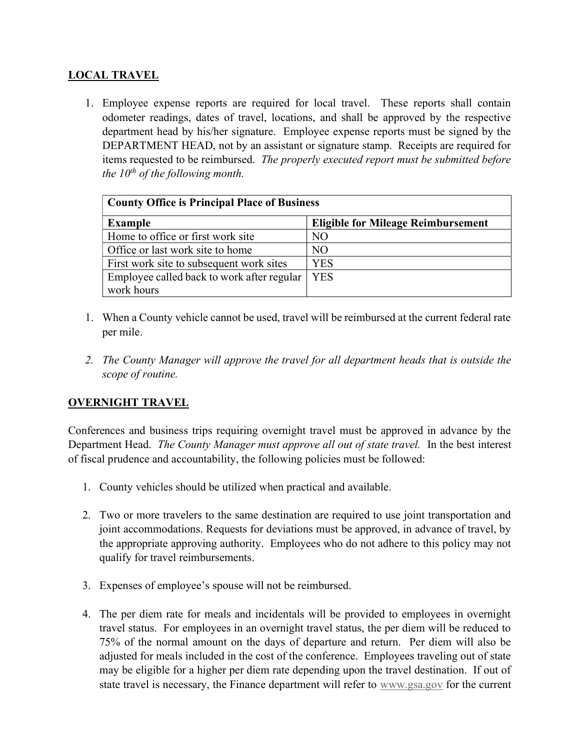# LOCAL TRAVEL

1. Employee expense reports are required for local travel. These reports shall contain odometer readings, dates of travel, locations, and shall be approved by the respective department head by his/her signature. Employee expense reports must be signed by the DEPARTMENT HEAD, not by an assistant or signature stamp. Receipts are required for items requested to be reimbursed. The properly executed report must be submitted before the  $10^{th}$  of the following month.

| <b>County Office is Principal Place of Business</b> |                                           |
|-----------------------------------------------------|-------------------------------------------|
| <b>Example</b>                                      | <b>Eligible for Mileage Reimbursement</b> |
| Home to office or first work site                   | NO.                                       |
| Office or last work site to home                    | NO.                                       |
| First work site to subsequent work sites            | YES                                       |
| Employee called back to work after regular          | <b>YES</b>                                |
| work hours                                          |                                           |

- 1. When a County vehicle cannot be used, travel will be reimbursed at the current federal rate per mile.
- 2. The County Manager will approve the travel for all department heads that is outside the scope of routine.

# OVERNIGHT TRAVEL

Conferences and business trips requiring overnight travel must be approved in advance by the Department Head. The County Manager must approve all out of state travel. In the best interest of fiscal prudence and accountability, the following policies must be followed:

- 1. County vehicles should be utilized when practical and available.
- 2. Two or more travelers to the same destination are required to use joint transportation and joint accommodations. Requests for deviations must be approved, in advance of travel, by the appropriate approving authority. Employees who do not adhere to this policy may not qualify for travel reimbursements.
- 3. Expenses of employee's spouse will not be reimbursed.
- 4. The per diem rate for meals and incidentals will be provided to employees in overnight travel status. For employees in an overnight travel status, the per diem will be reduced to 75% of the normal amount on the days of departure and return. Per diem will also be adjusted for meals included in the cost of the conference. Employees traveling out of state may be eligible for a higher per diem rate depending upon the travel destination. If out of state travel is necessary, the Finance department will refer to www.gsa.gov for the current